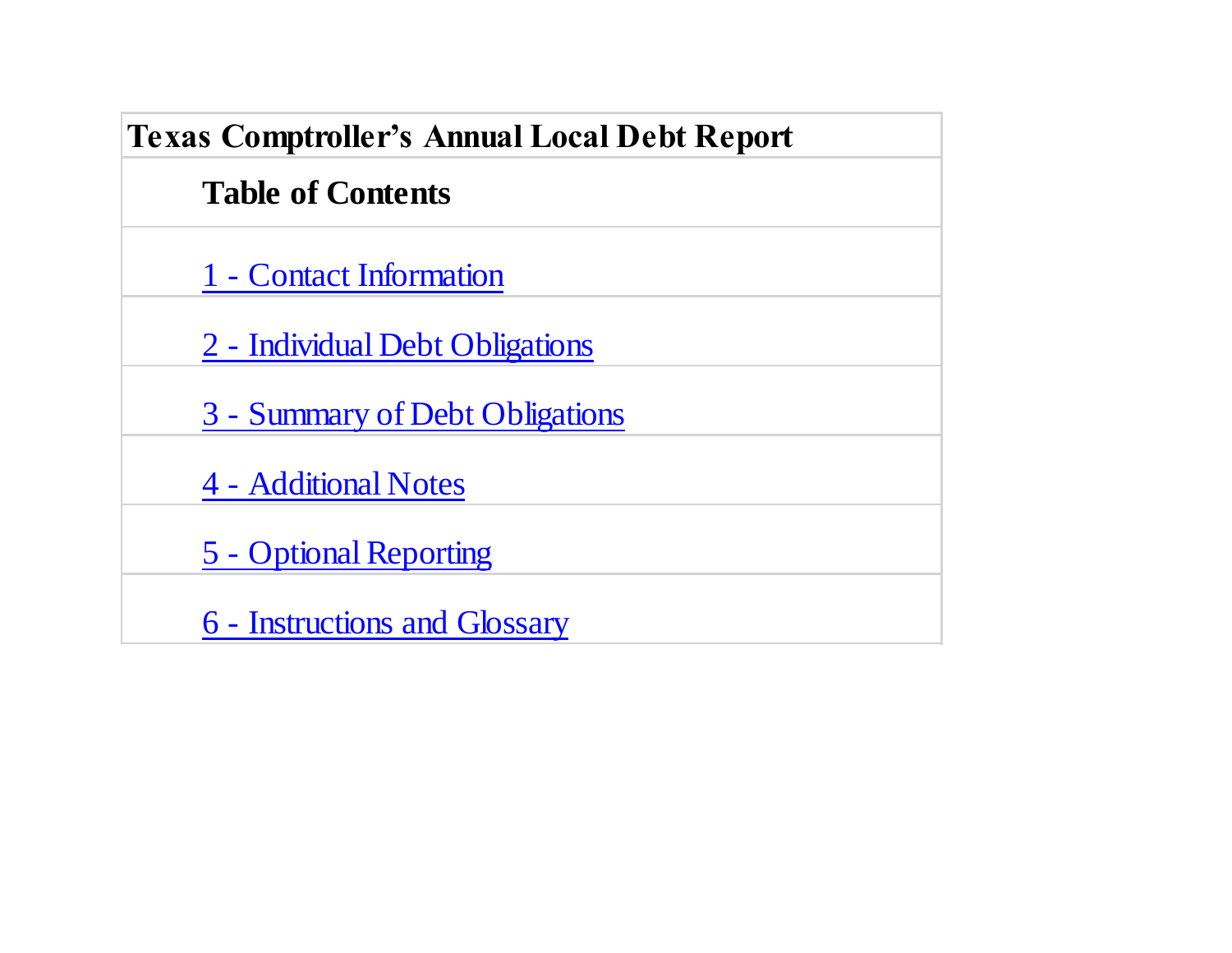| <b>Texas Comptroller's Annual Local Debt Report</b> |  |  |  |  |
|-----------------------------------------------------|--|--|--|--|
| <b>Table of Contents</b>                            |  |  |  |  |
| 1 - Contact Information                             |  |  |  |  |
| 2 - Individual Debt Obligations                     |  |  |  |  |
| 3 - Summary of Debt Obligations                     |  |  |  |  |
| 4 - Additional Notes                                |  |  |  |  |
| 5 - Optional Reporting                              |  |  |  |  |
| 6 - Instructions and Glossary                       |  |  |  |  |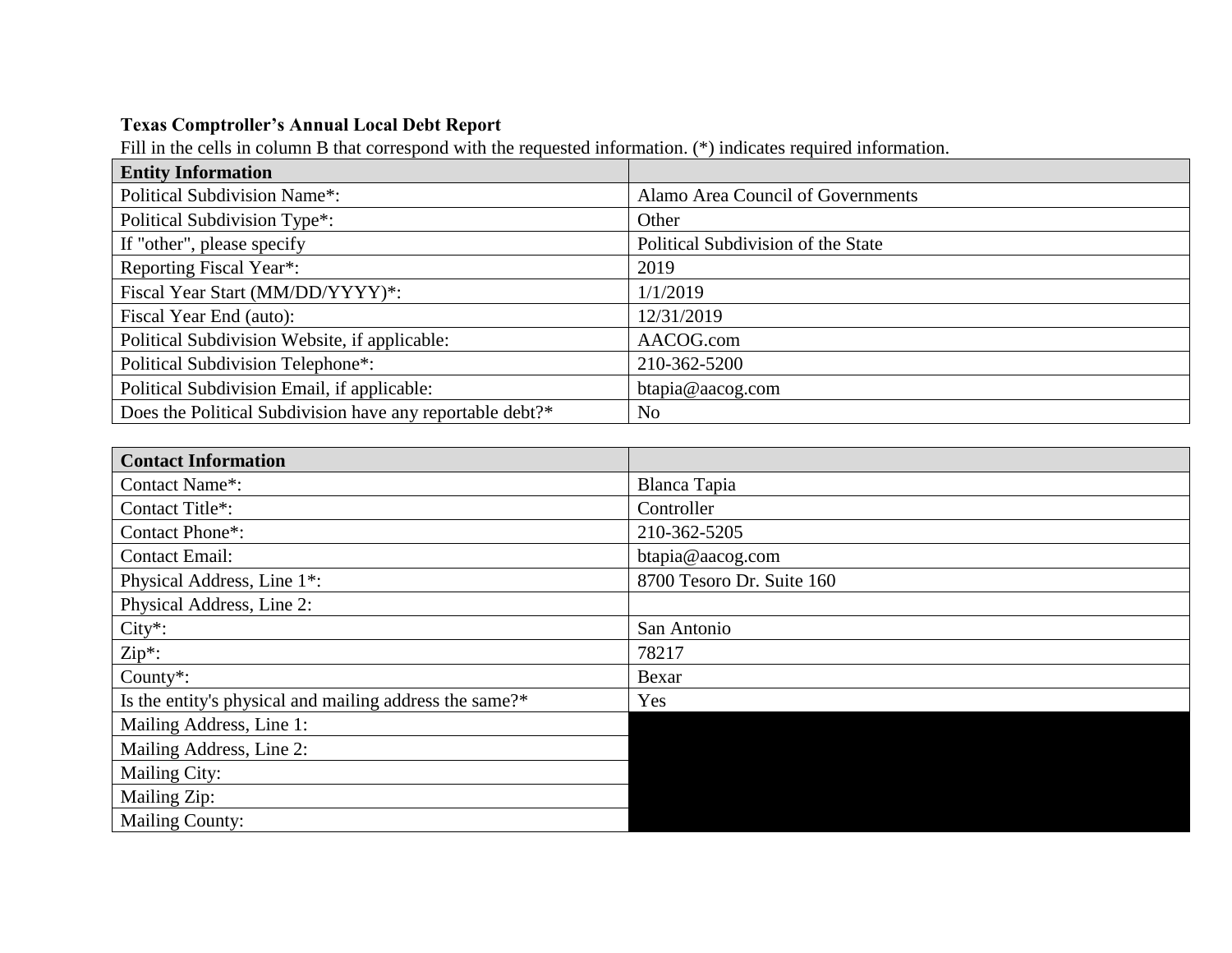## **Texas Comptroller's Annual Local Debt Report**

Fill in the cells in column B that correspond with the requested information. (\*) indicates required information.

| <b>Entity Information</b>                                 |                                    |
|-----------------------------------------------------------|------------------------------------|
| <b>Political Subdivision Name*:</b>                       | Alamo Area Council of Governments  |
| Political Subdivision Type*:                              | Other                              |
| If "other", please specify                                | Political Subdivision of the State |
| Reporting Fiscal Year*:                                   | 2019                               |
| Fiscal Year Start (MM/DD/YYYY)*:                          | 1/1/2019                           |
| Fiscal Year End (auto):                                   | 12/31/2019                         |
| Political Subdivision Website, if applicable:             | AACOG.com                          |
| Political Subdivision Telephone*:                         | 210-362-5200                       |
| Political Subdivision Email, if applicable:               | btapia@aacog.com                   |
| Does the Political Subdivision have any reportable debt?* | N <sub>0</sub>                     |

| <b>Contact Information</b>                              |                           |
|---------------------------------------------------------|---------------------------|
| Contact Name*:                                          | Blanca Tapia              |
| Contact Title*:                                         | Controller                |
| Contact Phone*:                                         | 210-362-5205              |
| <b>Contact Email:</b>                                   | btapia@aacog.com          |
| Physical Address, Line 1 <sup>*</sup> :                 | 8700 Tesoro Dr. Suite 160 |
| Physical Address, Line 2:                               |                           |
| $City*$ :                                               | San Antonio               |
| $Zip*$ :                                                | 78217                     |
| County $*$ :                                            | Bexar                     |
| Is the entity's physical and mailing address the same?* | Yes                       |
| Mailing Address, Line 1:                                |                           |
| Mailing Address, Line 2:                                |                           |
| <b>Mailing City:</b>                                    |                           |
| Mailing Zip:                                            |                           |
| <b>Mailing County:</b>                                  |                           |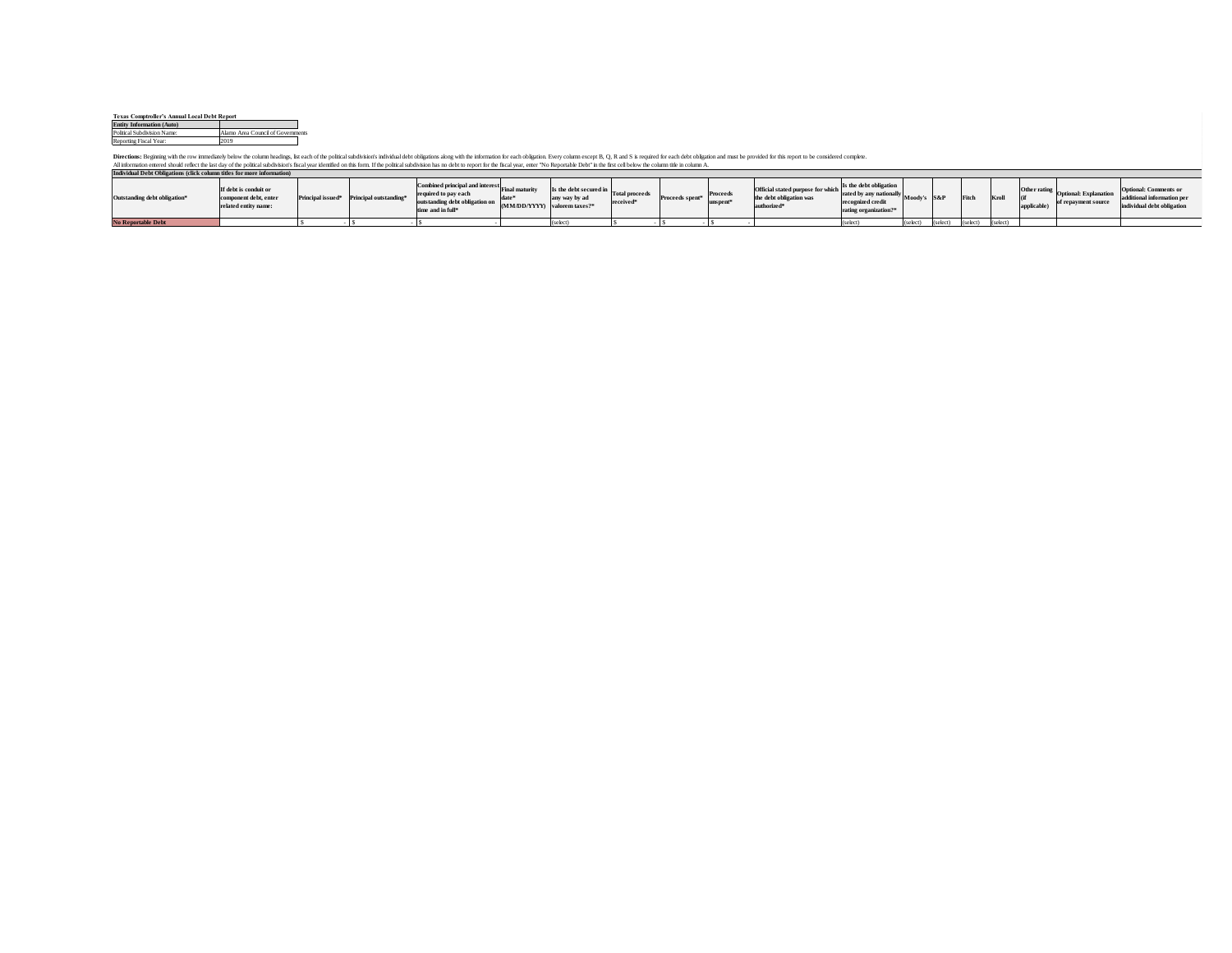| <b>Texas Comptroller's Annual Local Debt Report</b> |                                   |  |  |  |  |  |
|-----------------------------------------------------|-----------------------------------|--|--|--|--|--|
| <b>Entity Information (Auto)</b>                    |                                   |  |  |  |  |  |
| Political Subdivision Name:                         | Alamo Area Council of Governments |  |  |  |  |  |
| Reporting Fiscal Year:                              | 2019                              |  |  |  |  |  |

Directions: Beginnig white tow immediaty below the column bedings, bit each of the polosical simblishors individent on such the informator for each objetime near blow column except B, R and S is required for online and the

| Individual Debt Obligations (click column titles for more information) |                                                                        |  |                                                                  |                                                                                                                            |                                                |                                         |                                   |                             |          |                                                                                         |                                                                                                 |             |          |          |          |             |                                                           |                                                                                    |
|------------------------------------------------------------------------|------------------------------------------------------------------------|--|------------------------------------------------------------------|----------------------------------------------------------------------------------------------------------------------------|------------------------------------------------|-----------------------------------------|-----------------------------------|-----------------------------|----------|-----------------------------------------------------------------------------------------|-------------------------------------------------------------------------------------------------|-------------|----------|----------|----------|-------------|-----------------------------------------------------------|------------------------------------------------------------------------------------|
| Outstanding debt obligation*                                           | If debt is conduit or<br>component debt, enter<br>related entity name: |  | Principal issued <sup>®</sup> Principal outstanding <sup>®</sup> | Combined principal and interest<br>required to pay each<br>outstanding debt obligation on<br>time and in full <sup>®</sup> | Final maturity<br>(MM/DD/YYYY) valorem taxes?* | Is the debt secured in<br>any way by ad | <b>Total proceeds</b><br>received | Proceeds spent <sup>®</sup> | Proceeds | Official stated purpose for which<br>the debt obligation was<br>authorized <sup>®</sup> | Is the debt obligation<br>rated by any nationally<br>recognized credit<br>rating organization?* | Moody's S&P |          |          |          | applicable) | Other rating Optional: Explanation<br>of repayment source | Optional: Comments or<br>ladditional information per<br>individual debt obligation |
| <b>No Reportable Debt</b>                                              |                                                                        |  |                                                                  |                                                                                                                            |                                                | (select)                                |                                   |                             |          |                                                                                         | (select                                                                                         | (select)    | (select) | (select) | (select) |             |                                                           |                                                                                    |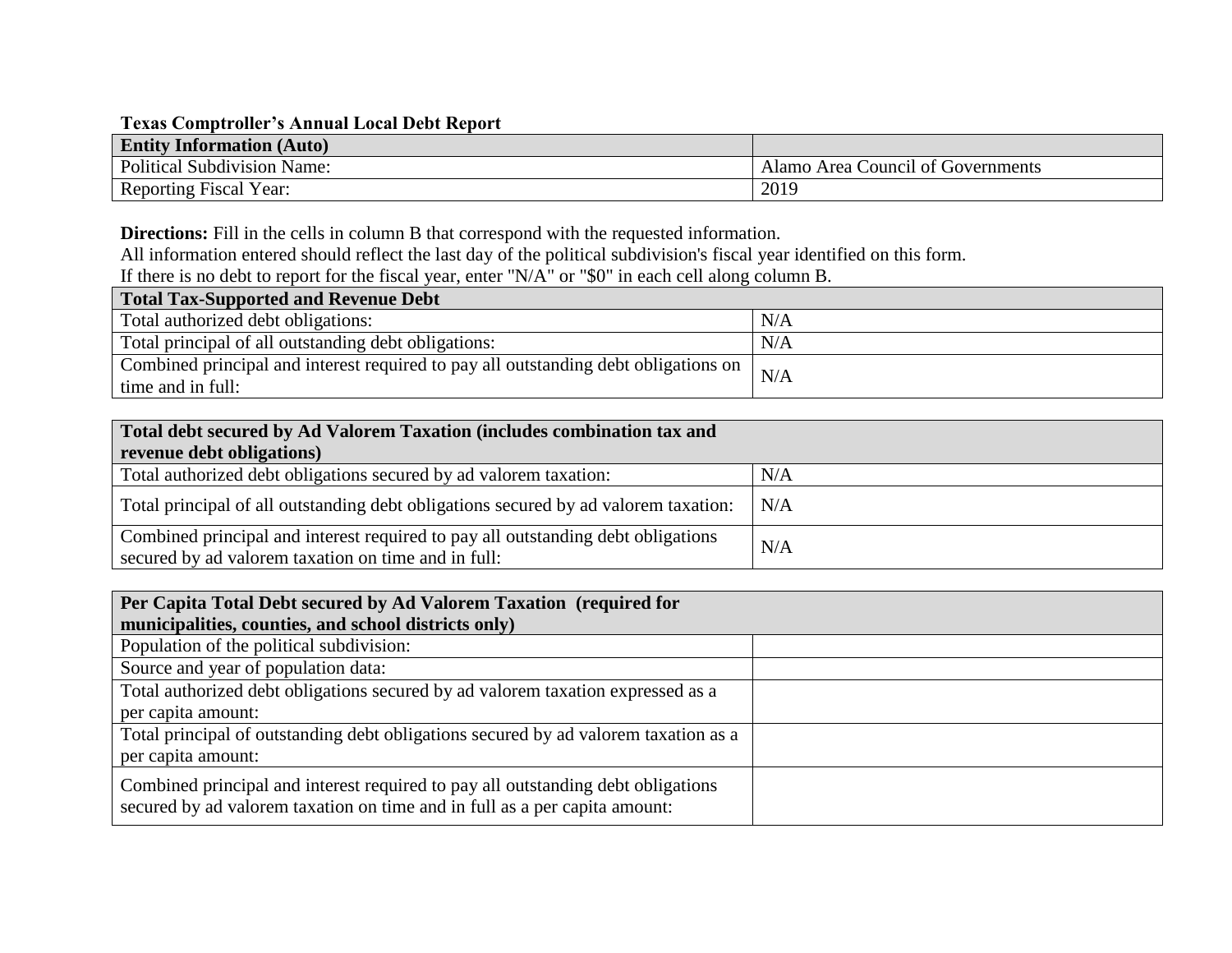## **Texas Comptroller's Annual Local Debt Report**

| <b>Entity Information (Auto)</b>   |                                   |
|------------------------------------|-----------------------------------|
| <b>Political Subdivision Name:</b> | Alamo Area Council of Governments |
| Reporting Fiscal Year:             | 2019                              |

**Directions:** Fill in the cells in column B that correspond with the requested information.

All information entered should reflect the last day of the political subdivision's fiscal year identified on this form.

If there is no debt to report for the fiscal year, enter "N/A" or "\$0" in each cell along column B.

| Total Tax-Supported and Revenue Debt                                                |     |  |  |  |  |  |  |
|-------------------------------------------------------------------------------------|-----|--|--|--|--|--|--|
| Total authorized debt obligations:                                                  | N/A |  |  |  |  |  |  |
| Total principal of all outstanding debt obligations:                                | N/A |  |  |  |  |  |  |
| Combined principal and interest required to pay all outstanding debt obligations on | N/A |  |  |  |  |  |  |
| time and in full:                                                                   |     |  |  |  |  |  |  |

| Total debt secured by Ad Valorem Taxation (includes combination tax and                                                                 |     |  |  |  |  |  |
|-----------------------------------------------------------------------------------------------------------------------------------------|-----|--|--|--|--|--|
| revenue debt obligations)                                                                                                               |     |  |  |  |  |  |
| Total authorized debt obligations secured by ad valorem taxation:                                                                       | N/A |  |  |  |  |  |
| Total principal of all outstanding debt obligations secured by ad valorem taxation:                                                     | N/A |  |  |  |  |  |
| Combined principal and interest required to pay all outstanding debt obligations<br>secured by ad valorem taxation on time and in full: | N/A |  |  |  |  |  |

| Per Capita Total Debt secured by Ad Valorem Taxation (required for<br>municipalities, counties, and school districts only)                                     |  |
|----------------------------------------------------------------------------------------------------------------------------------------------------------------|--|
| Population of the political subdivision:                                                                                                                       |  |
| Source and year of population data:                                                                                                                            |  |
| Total authorized debt obligations secured by ad valorem taxation expressed as a                                                                                |  |
| per capita amount:                                                                                                                                             |  |
| Total principal of outstanding debt obligations secured by ad valorem taxation as a                                                                            |  |
| per capita amount:                                                                                                                                             |  |
| Combined principal and interest required to pay all outstanding debt obligations<br>secured by ad valorem taxation on time and in full as a per capita amount: |  |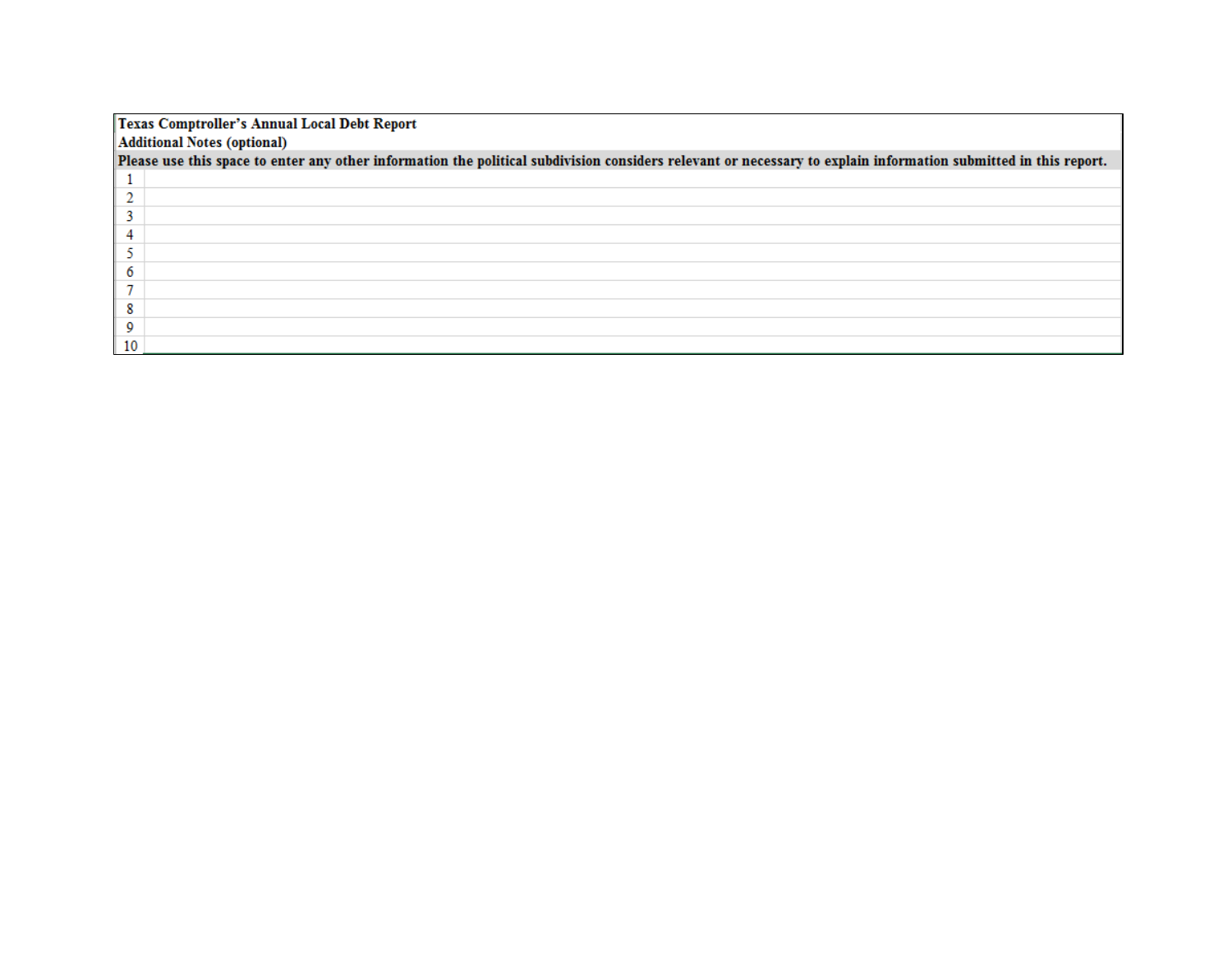| Texas Comptroller's Annual Local Debt Report                                                                                                                    |  |  |  |  |  |  |  |
|-----------------------------------------------------------------------------------------------------------------------------------------------------------------|--|--|--|--|--|--|--|
| <b>Additional Notes (optional)</b>                                                                                                                              |  |  |  |  |  |  |  |
| Please use this space to enter any other information the political subdivision considers relevant or necessary to explain information submitted in this report. |  |  |  |  |  |  |  |
|                                                                                                                                                                 |  |  |  |  |  |  |  |
|                                                                                                                                                                 |  |  |  |  |  |  |  |
|                                                                                                                                                                 |  |  |  |  |  |  |  |
|                                                                                                                                                                 |  |  |  |  |  |  |  |
|                                                                                                                                                                 |  |  |  |  |  |  |  |
|                                                                                                                                                                 |  |  |  |  |  |  |  |
|                                                                                                                                                                 |  |  |  |  |  |  |  |
|                                                                                                                                                                 |  |  |  |  |  |  |  |
|                                                                                                                                                                 |  |  |  |  |  |  |  |
| 10                                                                                                                                                              |  |  |  |  |  |  |  |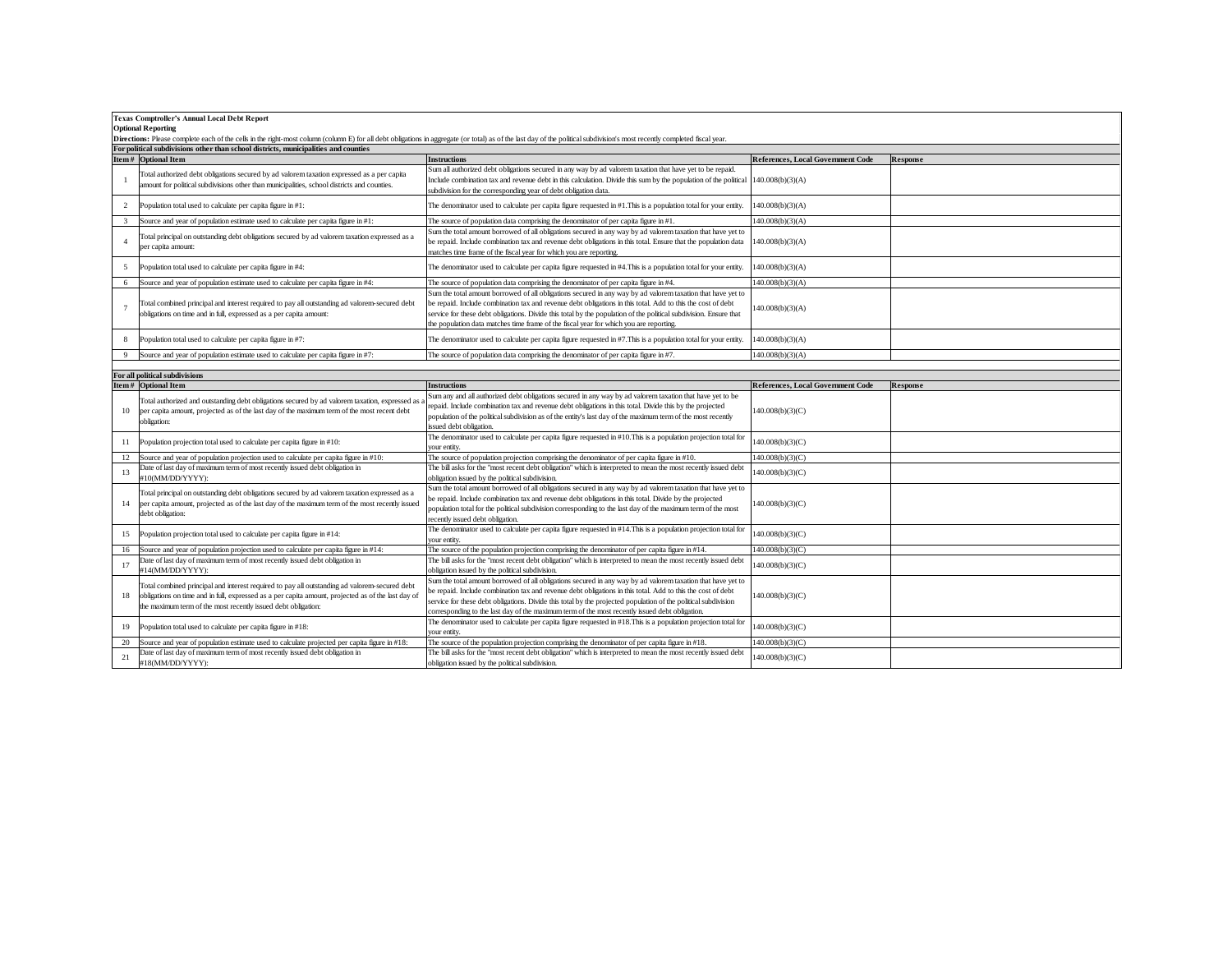|                           | <b>Texas Comptroller's Annual Local Debt Report</b>                                                                                                                                                                       |                                                                                                                                                                                                                                                                                                                                                                                                                                           |                                   |          |  |  |  |  |  |  |
|---------------------------|---------------------------------------------------------------------------------------------------------------------------------------------------------------------------------------------------------------------------|-------------------------------------------------------------------------------------------------------------------------------------------------------------------------------------------------------------------------------------------------------------------------------------------------------------------------------------------------------------------------------------------------------------------------------------------|-----------------------------------|----------|--|--|--|--|--|--|
| <b>Optional Reporting</b> |                                                                                                                                                                                                                           |                                                                                                                                                                                                                                                                                                                                                                                                                                           |                                   |          |  |  |  |  |  |  |
|                           | Directions: Please complete each of the cells in the right-most column (column E) for all debt obligations in aggregate (or total) as of the last day of the political subdivision's most recently completed fiscal year. |                                                                                                                                                                                                                                                                                                                                                                                                                                           |                                   |          |  |  |  |  |  |  |
|                           | For political subdivisions other than school districts, municipalities and counties                                                                                                                                       |                                                                                                                                                                                                                                                                                                                                                                                                                                           |                                   |          |  |  |  |  |  |  |
|                           | Item# Optional Item                                                                                                                                                                                                       | <b>Instructions</b>                                                                                                                                                                                                                                                                                                                                                                                                                       | References, Local Government Code | Response |  |  |  |  |  |  |
|                           | Total authorized debt obligations secured by ad valorem taxation expressed as a per capita<br>amount for political subdivisions other than municipalities, school districts and counties.                                 | Sum all authorized debt obligations secured in any way by ad valorem taxation that have yet to be repaid.<br>Include combination tax and revenue debt in this calculation. Divide this sum by the population of the political [140.008(b)(3)(A)<br>subdivision for the corresponding year of debt obligation data.                                                                                                                        |                                   |          |  |  |  |  |  |  |
|                           | Population total used to calculate per capita figure in #1:                                                                                                                                                               | The denominator used to calculate per capita figure requested in #1. This is a population total for your entity.                                                                                                                                                                                                                                                                                                                          | 140.008(b)(3)(A)                  |          |  |  |  |  |  |  |
|                           | Source and year of population estimate used to calculate per capita figure in #1:                                                                                                                                         | The source of population data comprising the denominator of per capita figure in $#1$ .                                                                                                                                                                                                                                                                                                                                                   | 140.008(b)(3)(A)                  |          |  |  |  |  |  |  |
|                           | Total principal on outstanding debt obligations secured by ad valorem taxation expressed as a<br>per capita amount:                                                                                                       | Sum the total amount borrowed of all obligations secured in any way by ad valorem taxation that have yet to<br>be repaid. Include combination tax and revenue debt obligations in this total. Ensure that the population data<br>matches time frame of the fiscal year for which you are reporting.                                                                                                                                       | 140.008(b)(3)(A)                  |          |  |  |  |  |  |  |
|                           | Population total used to calculate per capita figure in #4:                                                                                                                                                               | The denominator used to calculate per capita figure requested in #4. This is a population total for your entity.                                                                                                                                                                                                                                                                                                                          | 140.008(b)(3)(A)                  |          |  |  |  |  |  |  |
|                           | Source and year of population estimate used to calculate per capita figure in #4:                                                                                                                                         | The source of population data comprising the denominator of per capita figure in #4.                                                                                                                                                                                                                                                                                                                                                      | 140.008(b)(3)(A)                  |          |  |  |  |  |  |  |
|                           | Total combined principal and interest required to pay all outstanding ad valorem-secured debt<br>obligations on time and in full, expressed as a per capita amount:                                                       | Sum the total amount borrowed of all obligations secured in any way by ad valorem taxation that have yet to<br>be repaid. Include combination tax and revenue debt obligations in this total. Add to this the cost of debt<br>service for these debt obligations. Divide this total by the population of the political subdivision. Ensure that<br>the population data matches time frame of the fiscal year for which you are reporting. | 140.008(b)(3)(A)                  |          |  |  |  |  |  |  |
| 8                         | Population total used to calculate per capita figure in #7:                                                                                                                                                               | The denominator used to calculate per capita figure requested in $#7$ . This is a population total for your entity.                                                                                                                                                                                                                                                                                                                       | 140.008(b)(3)(A)                  |          |  |  |  |  |  |  |
|                           | Source and year of population estimate used to calculate per capita figure in #7:                                                                                                                                         | The source of population data comprising the denominator of per capita figure in $#7$ .                                                                                                                                                                                                                                                                                                                                                   | 140,008(b)(3)(A)                  |          |  |  |  |  |  |  |
|                           |                                                                                                                                                                                                                           |                                                                                                                                                                                                                                                                                                                                                                                                                                           |                                   |          |  |  |  |  |  |  |

|    | For all political subdivisions                                                                                                                                                                                                                                       |                                                                                                                                                                                                                                                                                                                                                                                                                                                |                                   |          |  |  |  |  |
|----|----------------------------------------------------------------------------------------------------------------------------------------------------------------------------------------------------------------------------------------------------------------------|------------------------------------------------------------------------------------------------------------------------------------------------------------------------------------------------------------------------------------------------------------------------------------------------------------------------------------------------------------------------------------------------------------------------------------------------|-----------------------------------|----------|--|--|--|--|
|    | Item# Optional Item                                                                                                                                                                                                                                                  | <b>Instructions</b>                                                                                                                                                                                                                                                                                                                                                                                                                            | References, Local Government Code | Response |  |  |  |  |
|    | Total authorized and outstanding debt obligations secured by ad valorem taxation, expressed as a<br>per capita amount, projected as of the last day of the maximum term of the most recent debt<br>obligation:                                                       | Sum any and all authorized debt obligations secured in any way by ad valorem taxation that have yet to be<br>repaid. Include combination tax and revenue debt obligations in this total. Divide this by the projected<br>population of the political subdivision as of the entity's last day of the maximum term of the most recently<br>issued debt obligation.                                                                               | 140.008(b)(3)(C)                  |          |  |  |  |  |
| 11 | Population projection total used to calculate per capita figure in #10:                                                                                                                                                                                              | The denominator used to calculate per capita figure requested in #10. This is a population projection total for<br>your entity.                                                                                                                                                                                                                                                                                                                | 140.008(b)(3)(C)                  |          |  |  |  |  |
|    | Source and year of population projection used to calculate per capita figure in #10:                                                                                                                                                                                 | The source of population projection comprising the denominator of per capita figure in #10.                                                                                                                                                                                                                                                                                                                                                    | 140.008(b)(3)(C)                  |          |  |  |  |  |
| 13 | Date of last day of maximum term of most recently issued debt obligation in<br>#10(MM/DD/YYYY):                                                                                                                                                                      | The bill asks for the "most recent debt obligation" which is interpreted to mean the most recently issued debt<br>obligation issued by the political subdivision.                                                                                                                                                                                                                                                                              | 140.008(b)(3)(C)                  |          |  |  |  |  |
|    | Total principal on outstanding debt obligations secured by ad valorem taxation expressed as a<br>per capita amount, projected as of the last day of the maximum term of the most recently issued<br>debt obligation:                                                 | Sum the total amount borrowed of all obligations secured in any way by ad valorem taxation that have yet to<br>be repaid. Include combination tax and revenue debt obligations in this total. Divide by the projected<br>population total for the political subdivision corresponding to the last day of the maximum term of the most<br>recently issued debt obligation.                                                                      | 140.008(b)(3)(C)                  |          |  |  |  |  |
| 15 | Population projection total used to calculate per capita figure in #14:                                                                                                                                                                                              | The denominator used to calculate per capita figure requested in $#14$ . This is a population projection total for<br>vour entity.                                                                                                                                                                                                                                                                                                             | 140.008(b)(3)(C)                  |          |  |  |  |  |
|    | Source and year of population projection used to calculate per capita figure in #14:                                                                                                                                                                                 | The source of the population projection comprising the denominator of per capita figure in #14.                                                                                                                                                                                                                                                                                                                                                | 140.008(b)(3)(C)                  |          |  |  |  |  |
|    | Date of last day of maximum term of most recently issued debt obligation in<br>#14(MM/DD/YYYY):                                                                                                                                                                      | The bill asks for the "most recent debt obligation" which is interpreted to mean the most recently issued debt<br>obligation issued by the political subdivision.                                                                                                                                                                                                                                                                              | 140.008(b)(3)(C)                  |          |  |  |  |  |
|    | Total combined principal and interest required to pay all outstanding ad valorem-secured debt<br>obligations on time and in full, expressed as a per capita amount, projected as of the last day of<br>the maximum term of the most recently issued debt obligation: | Sum the total amount borrowed of all obligations secured in any way by ad valorem taxation that have yet to<br>be repaid. Include combination tax and revenue debt obligations in this total. Add to this the cost of debt<br>service for these debt obligations. Divide this total by the projected population of the political subdivision<br>corresponding to the last day of the maximum term of the most recently issued debt obligation. | 140.008(b)(3)(C)                  |          |  |  |  |  |
| 19 | Population total used to calculate per capita figure in #18:                                                                                                                                                                                                         | The denominator used to calculate per capita figure requested in #18. This is a population projection total for<br>your entity.                                                                                                                                                                                                                                                                                                                | 140.008(b)(3)(C)                  |          |  |  |  |  |
| 20 | Source and year of population estimate used to calculate projected per capita figure in #18:                                                                                                                                                                         | The source of the population projection comprising the denominator of per capita figure in #18.                                                                                                                                                                                                                                                                                                                                                | 140.008(b)(3)(C)                  |          |  |  |  |  |
| 21 | Date of last day of maximum term of most recently issued debt obligation in<br>#18(MM/DD/YYYY):                                                                                                                                                                      | The bill asks for the "most recent debt obligation" which is interpreted to mean the most recently issued debt<br>obligation issued by the political subdivision.                                                                                                                                                                                                                                                                              | 140.008(b)(3)(C)                  |          |  |  |  |  |